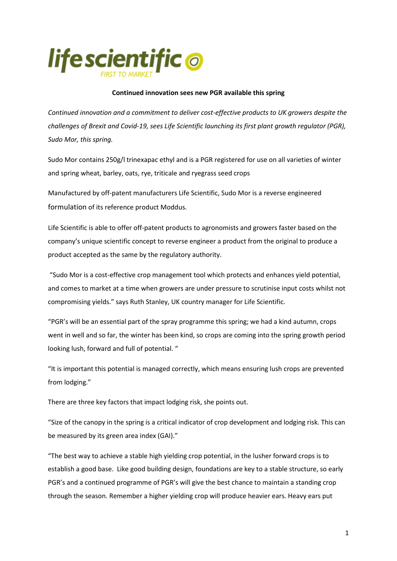

## **Continued innovation sees new PGR available this spring**

*Continued innovation and a commitment to deliver cost-effective products to UK growers despite the challenges of Brexit and Covid-19, sees Life Scientific launching its first plant growth regulator (PGR), Sudo Mor, this spring.*

Sudo Mor contains 250g/l trinexapac ethyl and is a PGR registered for use on all varieties of winter and spring wheat, barley, oats, rye, triticale and ryegrass seed crops

Manufactured by off-patent manufacturers Life Scientific, Sudo Mor is a reverse engineered formulation of its reference product Moddus.

Life Scientific is able to offer off-patent products to agronomists and growers faster based on the company's unique scientific concept to reverse engineer a product from the original to produce a product accepted as the same by the regulatory authority.

"Sudo Mor is a cost-effective crop management tool which protects and enhances yield potential, and comes to market at a time when growers are under pressure to scrutinise input costs whilst not compromising yields." says Ruth Stanley, UK country manager for Life Scientific.

"PGR's will be an essential part of the spray programme this spring; we had a kind autumn, crops went in well and so far, the winter has been kind, so crops are coming into the spring growth period looking lush, forward and full of potential. "

"It is important this potential is managed correctly, which means ensuring lush crops are prevented from lodging."

There are three key factors that impact lodging risk, she points out.

"Size of the canopy in the spring is a critical indicator of crop development and lodging risk. This can be measured by its green area index (GAI)."

"The best way to achieve a stable high yielding crop potential, in the lusher forward crops is to establish a good base. Like good building design, foundations are key to a stable structure, so early PGR's and a continued programme of PGR's will give the best chance to maintain a standing crop through the season. Remember a higher yielding crop will produce heavier ears. Heavy ears put